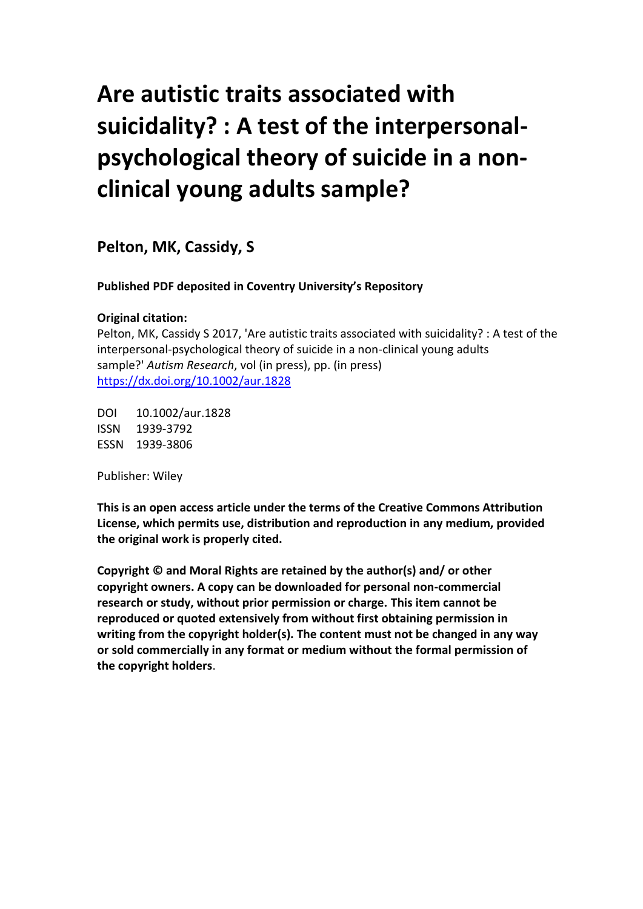# **Are autistic traits associated with suicidality? : A test of the interpersonalpsychological theory of suicide in a nonclinical young adults sample?**

**Pelton, MK, Cassidy, S** 

**Published PDF deposited in Coventry University's Repository**

### **Original citation:**

Pelton, MK, Cassidy S 2017, 'Are autistic traits associated with suicidality? : A test of the interpersonal-psychological theory of suicide in a non-clinical young adults sample?' *Autism Research*, vol (in press), pp. (in press) <https://dx.doi.org/10.1002/aur.1828>

DOI 10.1002/aur.1828 ISSN 1939-3792 ESSN 1939-3806

Publisher: Wiley

**This is an open access article under the terms of the Creative Commons Attribution License, which permits use, distribution and reproduction in any medium, provided the original work is properly cited.** 

**Copyright © and Moral Rights are retained by the author(s) and/ or other copyright owners. A copy can be downloaded for personal non-commercial research or study, without prior permission or charge. This item cannot be reproduced or quoted extensively from without first obtaining permission in writing from the copyright holder(s). The content must not be changed in any way or sold commercially in any format or medium without the formal permission of the copyright holders**.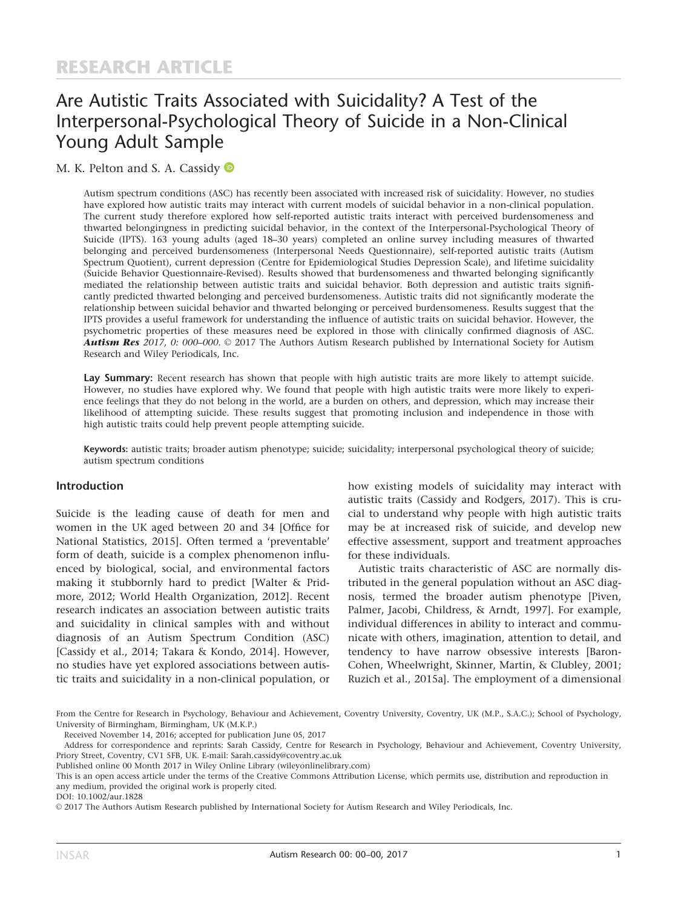## Are Autistic Traits Associated with Suicidality? A Test of the Interpersonal-Psychological Theory of Suicide in a Non-Clinical Young Adult Sample

#### M. K. Pelton and S. A. Cassidy  $\blacksquare$

Autism spectrum conditions (ASC) has recently been associated with increased risk of suicidality. However, no studies have explored how autistic traits may interact with current models of suicidal behavior in a non-clinical population. The current study therefore explored how self-reported autistic traits interact with perceived burdensomeness and thwarted belongingness in predicting suicidal behavior, in the context of the Interpersonal-Psychological Theory of Suicide (IPTS). 163 young adults (aged 18–30 years) completed an online survey including measures of thwarted belonging and perceived burdensomeness (Interpersonal Needs Questionnaire), self-reported autistic traits (Autism Spectrum Quotient), current depression (Centre for Epidemiological Studies Depression Scale), and lifetime suicidality (Suicide Behavior Questionnaire-Revised). Results showed that burdensomeness and thwarted belonging significantly mediated the relationship between autistic traits and suicidal behavior. Both depression and autistic traits significantly predicted thwarted belonging and perceived burdensomeness. Autistic traits did not significantly moderate the relationship between suicidal behavior and thwarted belonging or perceived burdensomeness. Results suggest that the IPTS provides a useful framework for understanding the influence of autistic traits on suicidal behavior. However, the psychometric properties of these measures need be explored in those with clinically confirmed diagnosis of ASC. **Autism Res** 2017, 0: 000–000.  $\odot$  2017 The Authors Autism Research published by International Society for Autism Research and Wiley Periodicals, Inc.

Lay Summary: Recent research has shown that people with high autistic traits are more likely to attempt suicide. However, no studies have explored why. We found that people with high autistic traits were more likely to experience feelings that they do not belong in the world, are a burden on others, and depression, which may increase their likelihood of attempting suicide. These results suggest that promoting inclusion and independence in those with high autistic traits could help prevent people attempting suicide.

Keywords: autistic traits; broader autism phenotype; suicide; suicidality; interpersonal psychological theory of suicide; autism spectrum conditions

#### Introduction

Suicide is the leading cause of death for men and women in the UK aged between 20 and 34 [Office for National Statistics, 2015]. Often termed a 'preventable' form of death, suicide is a complex phenomenon influenced by biological, social, and environmental factors making it stubbornly hard to predict [Walter & Pridmore, 2012; World Health Organization, 2012]. Recent research indicates an association between autistic traits and suicidality in clinical samples with and without diagnosis of an Autism Spectrum Condition (ASC) [Cassidy et al., 2014; Takara & Kondo, 2014]. However, no studies have yet explored associations between autistic traits and suicidality in a non-clinical population, or

how existing models of suicidality may interact with autistic traits (Cassidy and Rodgers, 2017). This is crucial to understand why people with high autistic traits may be at increased risk of suicide, and develop new effective assessment, support and treatment approaches for these individuals.

Autistic traits characteristic of ASC are normally distributed in the general population without an ASC diagnosis, termed the broader autism phenotype [Piven, Palmer, Jacobi, Childress, & Arndt, 1997]. For example, individual differences in ability to interact and communicate with others, imagination, attention to detail, and tendency to have narrow obsessive interests [Baron-Cohen, Wheelwright, Skinner, Martin, & Clubley, 2001; Ruzich et al., 2015a]. The employment of a dimensional

From the Centre for Research in Psychology, Behaviour and Achievement, Coventry University, Coventry, UK (M.P., S.A.C.); School of Psychology, University of Birmingham, Birmingham, UK (M.K.P.)

Received November 14, 2016; accepted for publication June 05, 2017

Address for correspondence and reprints: Sarah Cassidy, Centre for Research in Psychology, Behaviour and Achievement, Coventry University, Priory Street, Coventry, CV1 5FB, UK. E-mail: Sarah.cassidy@coventry.ac.uk

Published online 00 Month 2017 in Wiley Online Library (wileyonlinelibrary.com)

This is an open access article under the terms of the [Creative Commons Attribution](http://creativecommons.org/licenses/by/4.0/) License, which permits use, distribution and reproduction in any medium, provided the original work is properly cited.

DOI: 10.1002/aur.1828

 $\odot$  2017 The Authors Autism Research published by International Society for Autism Research and Wiley Periodicals, Inc.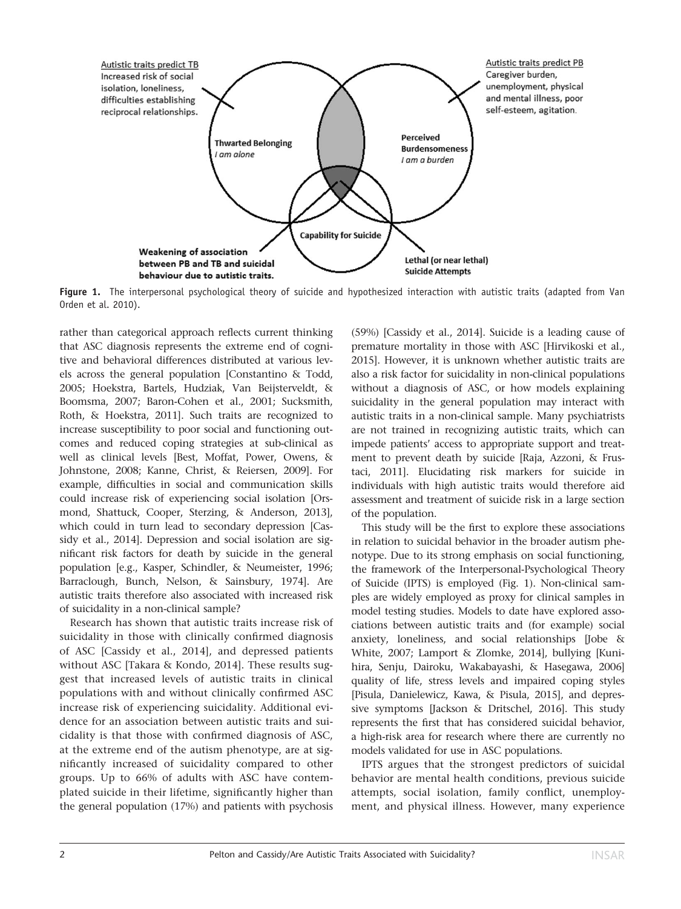

Figure 1. The interpersonal psychological theory of suicide and hypothesized interaction with autistic traits (adapted from Van Orden et al. 2010).

rather than categorical approach reflects current thinking that ASC diagnosis represents the extreme end of cognitive and behavioral differences distributed at various levels across the general population [Constantino & Todd, 2005; Hoekstra, Bartels, Hudziak, Van Beijsterveldt, & Boomsma, 2007; Baron-Cohen et al., 2001; Sucksmith, Roth, & Hoekstra, 2011]. Such traits are recognized to increase susceptibility to poor social and functioning outcomes and reduced coping strategies at sub-clinical as well as clinical levels [Best, Moffat, Power, Owens, & Johnstone, 2008; Kanne, Christ, & Reiersen, 2009]. For example, difficulties in social and communication skills could increase risk of experiencing social isolation [Orsmond, Shattuck, Cooper, Sterzing, & Anderson, 2013], which could in turn lead to secondary depression [Cassidy et al., 2014]. Depression and social isolation are significant risk factors for death by suicide in the general population [e.g., Kasper, Schindler, & Neumeister, 1996; Barraclough, Bunch, Nelson, & Sainsbury, 1974]. Are autistic traits therefore also associated with increased risk of suicidality in a non-clinical sample?

Research has shown that autistic traits increase risk of suicidality in those with clinically confirmed diagnosis of ASC [Cassidy et al., 2014], and depressed patients without ASC [Takara & Kondo, 2014]. These results suggest that increased levels of autistic traits in clinical populations with and without clinically confirmed ASC increase risk of experiencing suicidality. Additional evidence for an association between autistic traits and suicidality is that those with confirmed diagnosis of ASC, at the extreme end of the autism phenotype, are at significantly increased of suicidality compared to other groups. Up to 66% of adults with ASC have contemplated suicide in their lifetime, significantly higher than the general population (17%) and patients with psychosis (59%) [Cassidy et al., 2014]. Suicide is a leading cause of premature mortality in those with ASC [Hirvikoski et al., 2015]. However, it is unknown whether autistic traits are also a risk factor for suicidality in non-clinical populations without a diagnosis of ASC, or how models explaining suicidality in the general population may interact with autistic traits in a non-clinical sample. Many psychiatrists are not trained in recognizing autistic traits, which can impede patients' access to appropriate support and treatment to prevent death by suicide [Raja, Azzoni, & Frustaci, 2011]. Elucidating risk markers for suicide in individuals with high autistic traits would therefore aid assessment and treatment of suicide risk in a large section of the population.

This study will be the first to explore these associations in relation to suicidal behavior in the broader autism phenotype. Due to its strong emphasis on social functioning, the framework of the Interpersonal-Psychological Theory of Suicide (IPTS) is employed (Fig. 1). Non-clinical samples are widely employed as proxy for clinical samples in model testing studies. Models to date have explored associations between autistic traits and (for example) social anxiety, loneliness, and social relationships [Jobe & White, 2007; Lamport & Zlomke, 2014], bullying [Kunihira, Senju, Dairoku, Wakabayashi, & Hasegawa, 2006] quality of life, stress levels and impaired coping styles [Pisula, Danielewicz, Kawa, & Pisula, 2015], and depressive symptoms [Jackson & Dritschel, 2016]. This study represents the first that has considered suicidal behavior, a high-risk area for research where there are currently no models validated for use in ASC populations.

IPTS argues that the strongest predictors of suicidal behavior are mental health conditions, previous suicide attempts, social isolation, family conflict, unemployment, and physical illness. However, many experience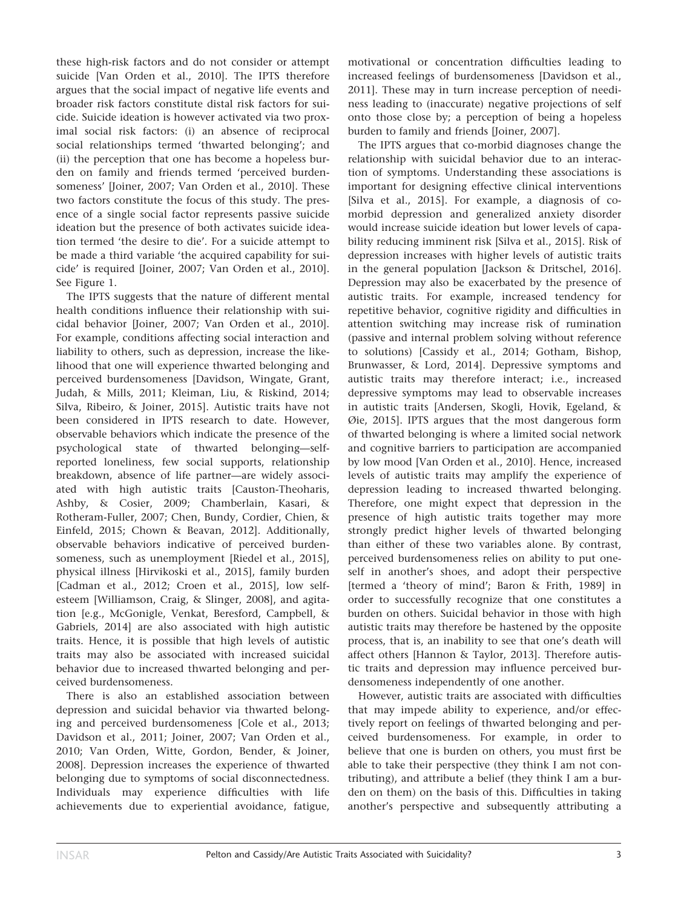these high-risk factors and do not consider or attempt suicide [Van Orden et al., 2010]. The IPTS therefore argues that the social impact of negative life events and broader risk factors constitute distal risk factors for suicide. Suicide ideation is however activated via two proximal social risk factors: (i) an absence of reciprocal social relationships termed 'thwarted belonging'; and (ii) the perception that one has become a hopeless burden on family and friends termed 'perceived burdensomeness' [Joiner, 2007; Van Orden et al., 2010]. These two factors constitute the focus of this study. The presence of a single social factor represents passive suicide ideation but the presence of both activates suicide ideation termed 'the desire to die'. For a suicide attempt to be made a third variable 'the acquired capability for suicide' is required [Joiner, 2007; Van Orden et al., 2010]. See Figure 1.

The IPTS suggests that the nature of different mental health conditions influence their relationship with suicidal behavior [Joiner, 2007; Van Orden et al., 2010]. For example, conditions affecting social interaction and liability to others, such as depression, increase the likelihood that one will experience thwarted belonging and perceived burdensomeness [Davidson, Wingate, Grant, Judah, & Mills, 2011; Kleiman, Liu, & Riskind, 2014; Silva, Ribeiro, & Joiner, 2015]. Autistic traits have not been considered in IPTS research to date. However, observable behaviors which indicate the presence of the psychological state of thwarted belonging—selfreported loneliness, few social supports, relationship breakdown, absence of life partner—are widely associated with high autistic traits [Causton-Theoharis, Ashby, & Cosier, 2009; Chamberlain, Kasari, & Rotheram-Fuller, 2007; Chen, Bundy, Cordier, Chien, & Einfeld, 2015; Chown & Beavan, 2012]. Additionally, observable behaviors indicative of perceived burdensomeness, such as unemployment [Riedel et al., 2015], physical illness [Hirvikoski et al., 2015], family burden [Cadman et al., 2012; Croen et al., 2015], low selfesteem [Williamson, Craig, & Slinger, 2008], and agitation [e.g., McGonigle, Venkat, Beresford, Campbell, & Gabriels, 2014] are also associated with high autistic traits. Hence, it is possible that high levels of autistic traits may also be associated with increased suicidal behavior due to increased thwarted belonging and perceived burdensomeness.

There is also an established association between depression and suicidal behavior via thwarted belonging and perceived burdensomeness [Cole et al., 2013; Davidson et al., 2011; Joiner, 2007; Van Orden et al., 2010; Van Orden, Witte, Gordon, Bender, & Joiner, 2008]. Depression increases the experience of thwarted belonging due to symptoms of social disconnectedness. Individuals may experience difficulties with life achievements due to experiential avoidance, fatigue, motivational or concentration difficulties leading to increased feelings of burdensomeness [Davidson et al., 2011]. These may in turn increase perception of neediness leading to (inaccurate) negative projections of self onto those close by; a perception of being a hopeless burden to family and friends [Joiner, 2007].

The IPTS argues that co-morbid diagnoses change the relationship with suicidal behavior due to an interaction of symptoms. Understanding these associations is important for designing effective clinical interventions [Silva et al., 2015]. For example, a diagnosis of comorbid depression and generalized anxiety disorder would increase suicide ideation but lower levels of capability reducing imminent risk [Silva et al., 2015]. Risk of depression increases with higher levels of autistic traits in the general population [Jackson & Dritschel, 2016]. Depression may also be exacerbated by the presence of autistic traits. For example, increased tendency for repetitive behavior, cognitive rigidity and difficulties in attention switching may increase risk of rumination (passive and internal problem solving without reference to solutions) [Cassidy et al., 2014; Gotham, Bishop, Brunwasser, & Lord, 2014]. Depressive symptoms and autistic traits may therefore interact; i.e., increased depressive symptoms may lead to observable increases in autistic traits [Andersen, Skogli, Hovik, Egeland, & Øie, 2015]. IPTS argues that the most dangerous form of thwarted belonging is where a limited social network and cognitive barriers to participation are accompanied by low mood [Van Orden et al., 2010]. Hence, increased levels of autistic traits may amplify the experience of depression leading to increased thwarted belonging. Therefore, one might expect that depression in the presence of high autistic traits together may more strongly predict higher levels of thwarted belonging than either of these two variables alone. By contrast, perceived burdensomeness relies on ability to put oneself in another's shoes, and adopt their perspective [termed a 'theory of mind'; Baron & Frith, 1989] in order to successfully recognize that one constitutes a burden on others. Suicidal behavior in those with high autistic traits may therefore be hastened by the opposite process, that is, an inability to see that one's death will affect others [Hannon & Taylor, 2013]. Therefore autistic traits and depression may influence perceived burdensomeness independently of one another.

However, autistic traits are associated with difficulties that may impede ability to experience, and/or effectively report on feelings of thwarted belonging and perceived burdensomeness. For example, in order to believe that one is burden on others, you must first be able to take their perspective (they think I am not contributing), and attribute a belief (they think I am a burden on them) on the basis of this. Difficulties in taking another's perspective and subsequently attributing a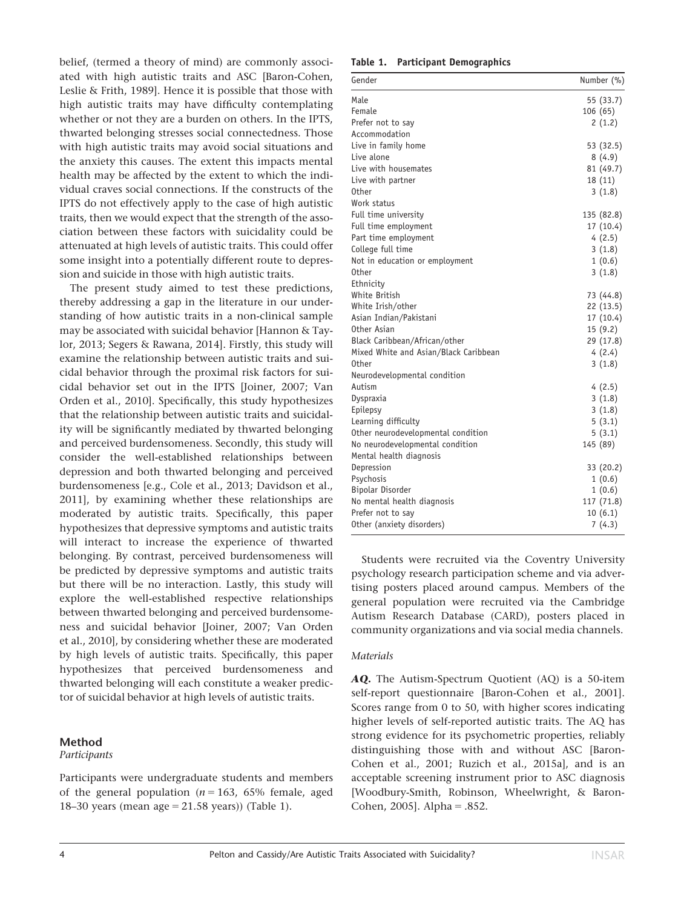belief, (termed a theory of mind) are commonly associated with high autistic traits and ASC [Baron-Cohen, Leslie & Frith, 1989]. Hence it is possible that those with high autistic traits may have difficulty contemplating whether or not they are a burden on others. In the IPTS, thwarted belonging stresses social connectedness. Those with high autistic traits may avoid social situations and the anxiety this causes. The extent this impacts mental health may be affected by the extent to which the individual craves social connections. If the constructs of the IPTS do not effectively apply to the case of high autistic traits, then we would expect that the strength of the association between these factors with suicidality could be attenuated at high levels of autistic traits. This could offer some insight into a potentially different route to depression and suicide in those with high autistic traits.

The present study aimed to test these predictions, thereby addressing a gap in the literature in our understanding of how autistic traits in a non-clinical sample may be associated with suicidal behavior [Hannon & Taylor, 2013; Segers & Rawana, 2014]. Firstly, this study will examine the relationship between autistic traits and suicidal behavior through the proximal risk factors for suicidal behavior set out in the IPTS [Joiner, 2007; Van Orden et al., 2010]. Specifically, this study hypothesizes that the relationship between autistic traits and suicidality will be significantly mediated by thwarted belonging and perceived burdensomeness. Secondly, this study will consider the well-established relationships between depression and both thwarted belonging and perceived burdensomeness [e.g., Cole et al., 2013; Davidson et al., 2011], by examining whether these relationships are moderated by autistic traits. Specifically, this paper hypothesizes that depressive symptoms and autistic traits will interact to increase the experience of thwarted belonging. By contrast, perceived burdensomeness will be predicted by depressive symptoms and autistic traits but there will be no interaction. Lastly, this study will explore the well-established respective relationships between thwarted belonging and perceived burdensomeness and suicidal behavior [Joiner, 2007; Van Orden et al., 2010], by considering whether these are moderated by high levels of autistic traits. Specifically, this paper hypothesizes that perceived burdensomeness and thwarted belonging will each constitute a weaker predictor of suicidal behavior at high levels of autistic traits.

#### Method

#### Participants

Participants were undergraduate students and members of the general population ( $n = 163$ , 65% female, aged 18–30 years (mean age  $= 21.58$  years)) (Table 1).

#### Table 1. Participant Demographics

| Gender                                | Number (%) |
|---------------------------------------|------------|
| Male                                  | 55 (33.7)  |
| Female                                | 106 (65)   |
| Prefer not to say                     | 2(1.2)     |
| Accommodation                         |            |
| Live in family home                   | 53 (32.5)  |
| Live alone                            | 8(4.9)     |
| Live with housemates                  | 81 (49.7)  |
| Live with partner                     | 18 (11)    |
| 0ther                                 | 3(1.8)     |
| Work status                           |            |
| Full time university                  | 135 (82.8) |
| Full time employment                  | 17 (10.4)  |
| Part time employment                  | 4(2.5)     |
| College full time                     | 3(1.8)     |
| Not in education or employment        | 1(0.6)     |
| 0ther                                 | 3(1.8)     |
| Ethnicity                             |            |
| White British                         | 73 (44.8)  |
| White Irish/other                     | 22(13.5)   |
| Asian Indian/Pakistani                | 17(10.4)   |
| Other Asian                           | 15(9.2)    |
| Black Caribbean/African/other         | 29 (17.8)  |
| Mixed White and Asian/Black Caribbean | 4(2.4)     |
| <b>Other</b>                          | 3(1.8)     |
| Neurodevelopmental condition          |            |
| Autism                                | 4(2.5)     |
| Dyspraxia                             | 3(1.8)     |
| Epilepsy                              | 3(1.8)     |
| Learning difficulty                   | 5(3.1)     |
| Other neurodevelopmental condition    | 5(3.1)     |
| No neurodevelopmental condition       | 145 (89)   |
| Mental health diagnosis               |            |
| Depression                            | 33 (20.2)  |
| Psychosis                             | 1(0.6)     |
| Bipolar Disorder                      | 1(0.6)     |
| No mental health diagnosis            | 117 (71.8) |
| Prefer not to say                     | 10(6.1)    |
| Other (anxiety disorders)             | 7(4.3)     |

Students were recruited via the Coventry University psychology research participation scheme and via advertising posters placed around campus. Members of the general population were recruited via the Cambridge Autism Research Database (CARD), posters placed in community organizations and via social media channels.

#### **Materials**

AQ. The Autism-Spectrum Quotient (AQ) is a 50-item self-report questionnaire [Baron-Cohen et al., 2001]. Scores range from 0 to 50, with higher scores indicating higher levels of self-reported autistic traits. The AQ has strong evidence for its psychometric properties, reliably distinguishing those with and without ASC [Baron-Cohen et al., 2001; Ruzich et al., 2015a], and is an acceptable screening instrument prior to ASC diagnosis [Woodbury-Smith, Robinson, Wheelwright, & Baron-Cohen, 2005]. Alpha =  $.852$ .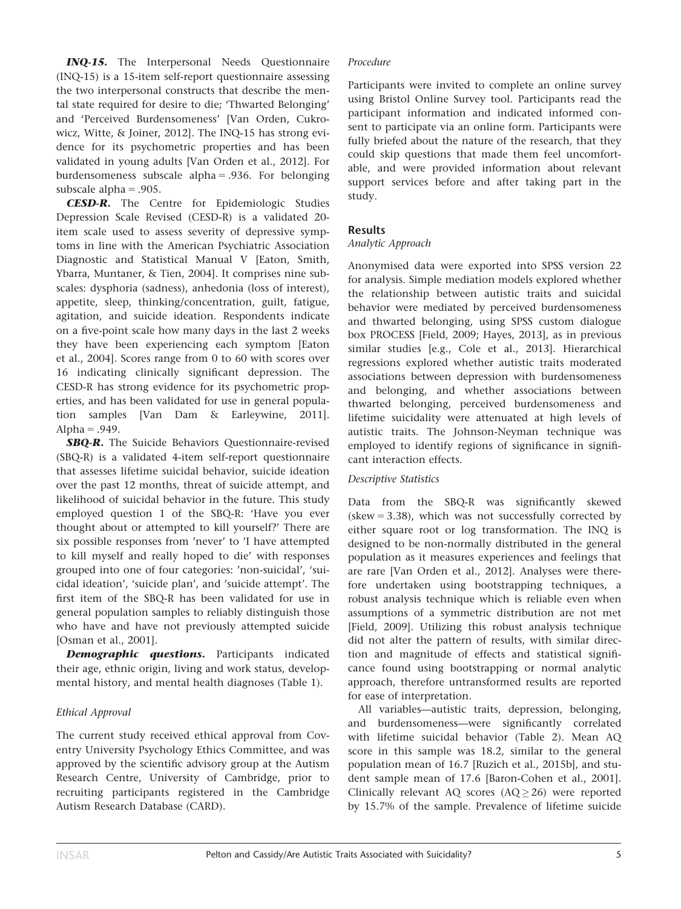INQ-15. The Interpersonal Needs Questionnaire (INQ-15) is a 15-item self-report questionnaire assessing the two interpersonal constructs that describe the mental state required for desire to die; 'Thwarted Belonging' and 'Perceived Burdensomeness' [Van Orden, Cukrowicz, Witte, & Joiner, 2012]. The INQ-15 has strong evidence for its psychometric properties and has been validated in young adults [Van Orden et al., 2012]. For burdensomeness subscale alpha  $= .936$ . For belonging subscale alpha  $= .905$ .

CESD-R. The Centre for Epidemiologic Studies Depression Scale Revised (CESD-R) is a validated 20 item scale used to assess severity of depressive symptoms in line with the American Psychiatric Association Diagnostic and Statistical Manual V [Eaton, Smith, Ybarra, Muntaner, & Tien, 2004]. It comprises nine subscales: dysphoria (sadness), anhedonia (loss of interest), appetite, sleep, thinking/concentration, guilt, fatigue, agitation, and suicide ideation. Respondents indicate on a five-point scale how many days in the last 2 weeks they have been experiencing each symptom [Eaton et al., 2004]. Scores range from 0 to 60 with scores over 16 indicating clinically significant depression. The CESD-R has strong evidence for its psychometric properties, and has been validated for use in general population samples [Van Dam & Earleywine, 2011]. Alpha  $= .949$ .

SBQ-R. The Suicide Behaviors Questionnaire-revised (SBQ-R) is a validated 4-item self-report questionnaire that assesses lifetime suicidal behavior, suicide ideation over the past 12 months, threat of suicide attempt, and likelihood of suicidal behavior in the future. This study employed question 1 of the SBQ-R: 'Have you ever thought about or attempted to kill yourself?' There are six possible responses from 'never' to 'I have attempted to kill myself and really hoped to die' with responses grouped into one of four categories: 'non-suicidal', 'suicidal ideation', 'suicide plan', and 'suicide attempt'. The first item of the SBQ-R has been validated for use in general population samples to reliably distinguish those who have and have not previously attempted suicide [Osman et al., 2001].

Demographic questions. Participants indicated their age, ethnic origin, living and work status, developmental history, and mental health diagnoses (Table 1).

#### Ethical Approval

The current study received ethical approval from Coventry University Psychology Ethics Committee, and was approved by the scientific advisory group at the Autism Research Centre, University of Cambridge, prior to recruiting participants registered in the Cambridge Autism Research Database (CARD).

#### Procedure

Participants were invited to complete an online survey using Bristol Online Survey tool. Participants read the participant information and indicated informed consent to participate via an online form. Participants were fully briefed about the nature of the research, that they could skip questions that made them feel uncomfortable, and were provided information about relevant support services before and after taking part in the study.

#### Results

#### Analytic Approach

Anonymised data were exported into SPSS version 22 for analysis. Simple mediation models explored whether the relationship between autistic traits and suicidal behavior were mediated by perceived burdensomeness and thwarted belonging, using SPSS custom dialogue box PROCESS [Field, 2009; Hayes, 2013], as in previous similar studies [e.g., Cole et al., 2013]. Hierarchical regressions explored whether autistic traits moderated associations between depression with burdensomeness and belonging, and whether associations between thwarted belonging, perceived burdensomeness and lifetime suicidality were attenuated at high levels of autistic traits. The Johnson-Neyman technique was employed to identify regions of significance in significant interaction effects.

#### Descriptive Statistics

Data from the SBQ-R was significantly skewed  $(skew = 3.38)$ , which was not successfully corrected by either square root or log transformation. The INQ is designed to be non-normally distributed in the general population as it measures experiences and feelings that are rare [Van Orden et al., 2012]. Analyses were therefore undertaken using bootstrapping techniques, a robust analysis technique which is reliable even when assumptions of a symmetric distribution are not met [Field, 2009]. Utilizing this robust analysis technique did not alter the pattern of results, with similar direction and magnitude of effects and statistical significance found using bootstrapping or normal analytic approach, therefore untransformed results are reported for ease of interpretation.

All variables—autistic traits, depression, belonging, and burdensomeness—were significantly correlated with lifetime suicidal behavior (Table 2). Mean AQ score in this sample was 18.2, similar to the general population mean of 16.7 [Ruzich et al., 2015b], and student sample mean of 17.6 [Baron-Cohen et al., 2001]. Clinically relevant AQ scores  $(AQ \geq 26)$  were reported by 15.7% of the sample. Prevalence of lifetime suicide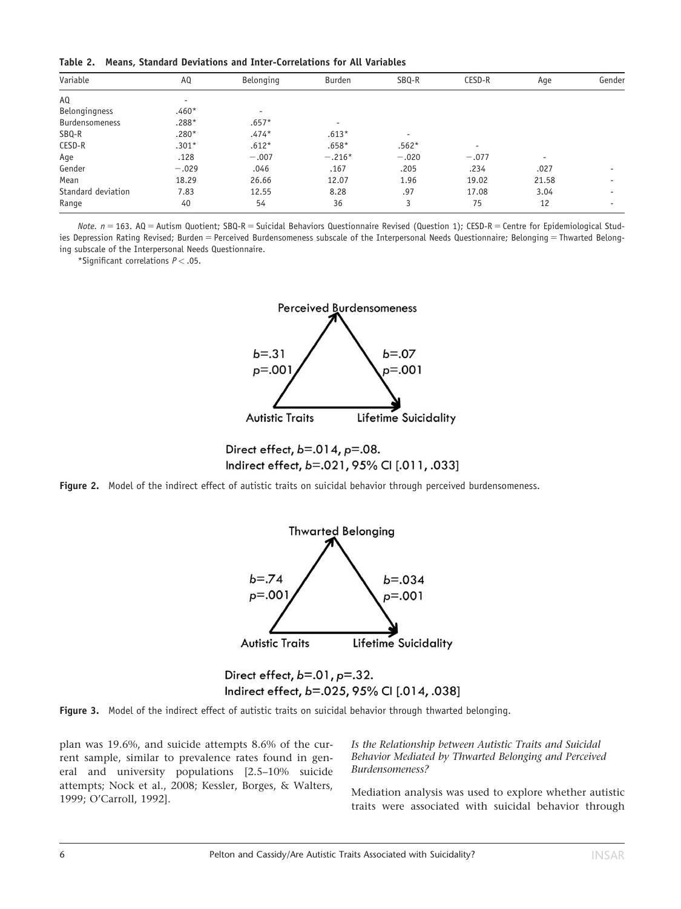Table 2. Means, Standard Deviations and Inter-Correlations for All Variables

| Variable              | AQ                       | Belonging      | Burden                   | SBQ-R                    | CESD-R  | Aqe                      | Gender |
|-----------------------|--------------------------|----------------|--------------------------|--------------------------|---------|--------------------------|--------|
| AQ                    | $\overline{\phantom{a}}$ |                |                          |                          |         |                          |        |
| Belongingness         | $.460*$                  | $\overline{a}$ |                          |                          |         |                          |        |
| <b>Burdensomeness</b> | .288*                    | $.657*$        | $\overline{\phantom{a}}$ |                          |         |                          |        |
| SBQ-R                 | $.280*$                  | $.474*$        | $.613*$                  | $\overline{\phantom{a}}$ |         |                          |        |
| CESD-R                | $.301*$                  | $.612*$        | $.658*$                  | $.562*$                  |         |                          |        |
| Age                   | .128                     | $-.007$        | $-.216*$                 | $-.020$                  | $-.077$ | $\overline{\phantom{a}}$ |        |
| Gender                | $-.029$                  | .046           | .167                     | .205                     | .234    | .027                     |        |
| Mean                  | 18.29                    | 26.66          | 12.07                    | 1.96                     | 19.02   | 21.58                    |        |
| Standard deviation    | 7.83                     | 12.55          | 8.28                     | .97                      | 17.08   | 3.04                     |        |
| Range                 | 40                       | 54             | 36                       | 3                        | 75      | 12                       |        |

Note.  $n = 163$ . AQ = Autism Quotient; SBQ-R = Suicidal Behaviors Questionnaire Revised (Question 1); CESD-R = Centre for Epidemiological Studies Depression Rating Revised; Burden = Perceived Burdensomeness subscale of the Interpersonal Needs Questionnaire; Belonging = Thwarted Belonging subscale of the Interpersonal Needs Questionnaire.

\*Significant correlations  $P < .05$ .





Figure 2. Model of the indirect effect of autistic traits on suicidal behavior through perceived burdensomeness.



Direct effect,  $b = .01$ ,  $p = .32$ . Indirect effect, b=.025, 95% CI [.014, .038]

Figure 3. Model of the indirect effect of autistic traits on suicidal behavior through thwarted belonging.

plan was 19.6%, and suicide attempts 8.6% of the current sample, similar to prevalence rates found in general and university populations [2.5–10% suicide attempts; Nock et al., 2008; Kessler, Borges, & Walters, 1999; O'Carroll, 1992].

Is the Relationship between Autistic Traits and Suicidal Behavior Mediated by Thwarted Belonging and Perceived Burdensomeness?

Mediation analysis was used to explore whether autistic traits were associated with suicidal behavior through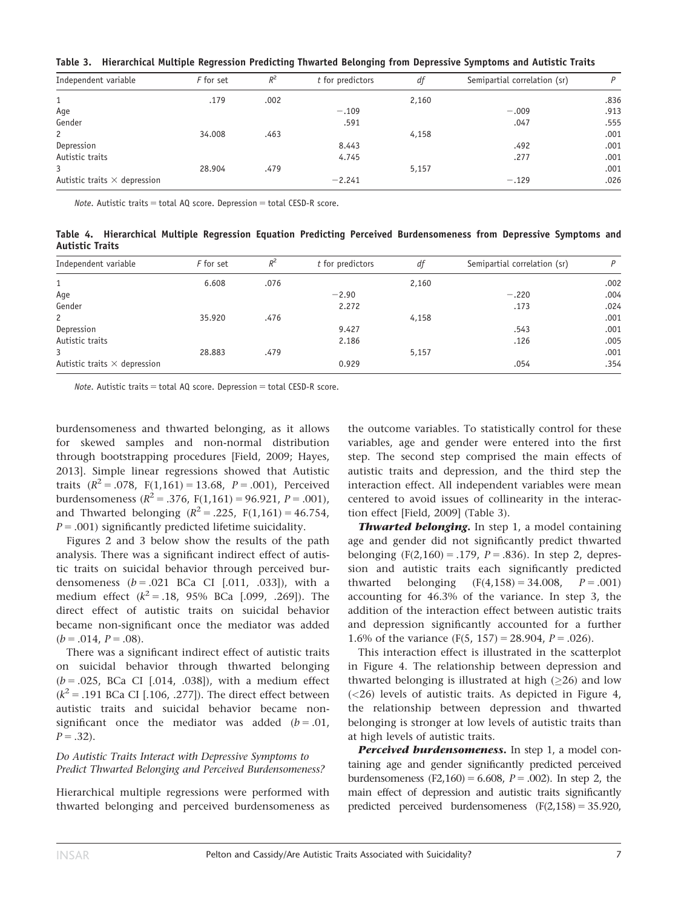Table 3. Hierarchical Multiple Regression Predicting Thwarted Belonging from Depressive Symptoms and Autistic Traits

| Independent variable                | F for set | $R^2$ | t for predictors | df    | Semipartial correlation (sr) |      |
|-------------------------------------|-----------|-------|------------------|-------|------------------------------|------|
| 1                                   | .179      | .002  |                  | 2,160 |                              | .836 |
| Age                                 |           |       | $-.109$          |       | $-.009$                      | .913 |
| Gender                              |           |       | .591             |       | .047                         | .555 |
| 2                                   | 34.008    | .463  |                  | 4,158 |                              | .001 |
| Depression                          |           |       | 8.443            |       | .492                         | .001 |
| Autistic traits                     |           |       | 4.745            |       | .277                         | .001 |
| 3                                   | 28.904    | .479  |                  | 5,157 |                              | .001 |
| Autistic traits $\times$ depression |           |       | $-2.241$         |       | $-.129$                      | .026 |

*Note*. Autistic traits  $=$  total AQ score. Depression  $=$  total CESD-R score.

Table 4. Hierarchical Multiple Regression Equation Predicting Perceived Burdensomeness from Depressive Symptoms and Autistic Traits

| Independent variable                | F for set | $R^2$ | t for predictors | df    | Semipartial correlation (sr) |      |
|-------------------------------------|-----------|-------|------------------|-------|------------------------------|------|
| 1                                   | 6.608     | .076  |                  | 2,160 |                              | .002 |
| Age                                 |           |       | $-2.90$          |       | $-.220$                      | .004 |
| Gender                              |           |       | 2.272            |       | .173                         | .024 |
| $\mathbf{2}$                        | 35.920    | .476  |                  | 4,158 |                              | .001 |
| Depression                          |           |       | 9.427            |       | .543                         | .001 |
| Autistic traits                     |           |       | 2.186            |       | .126                         | .005 |
| 3                                   | 28.883    | .479  |                  | 5,157 |                              | .001 |
| Autistic traits $\times$ depression |           |       | 0.929            |       | .054                         | .354 |

*Note*. Autistic traits  $=$  total AQ score. Depression  $=$  total CESD-R score.

burdensomeness and thwarted belonging, as it allows for skewed samples and non-normal distribution through bootstrapping procedures [Field, 2009; Hayes, 2013]. Simple linear regressions showed that Autistic traits  $(R^2 = .078, F(1,161) = 13.68, P = .001)$ , Perceived burdensomeness ( $R^2$  = .376, F(1,161) = 96.921, P = .001), and Thwarted belonging  $(R^2 = .225, F(1,161) = 46.754,$  $P = .001$ ) significantly predicted lifetime suicidality.

Figures 2 and 3 below show the results of the path analysis. There was a significant indirect effect of autistic traits on suicidal behavior through perceived burdensomeness  $(b = .021$  BCa CI  $[.011, .033]$ ), with a medium effect  $(k^2 = .18, 95\% \text{ BCa } [.099, .269])$ . The direct effect of autistic traits on suicidal behavior became non-significant once the mediator was added  $(b = .014, P = .08).$ 

There was a significant indirect effect of autistic traits on suicidal behavior through thwarted belonging  $(b = .025, BCa CI$  [.014, .038]), with a medium effect  $(k^2 = .191$  BCa CI [.106, .277]). The direct effect between autistic traits and suicidal behavior became nonsignificant once the mediator was added  $(b=.01)$ ,  $P = .32$ ).

#### Do Autistic Traits Interact with Depressive Symptoms to Predict Thwarted Belonging and Perceived Burdensomeness?

Hierarchical multiple regressions were performed with thwarted belonging and perceived burdensomeness as the outcome variables. To statistically control for these variables, age and gender were entered into the first step. The second step comprised the main effects of autistic traits and depression, and the third step the interaction effect. All independent variables were mean centered to avoid issues of collinearity in the interaction effect [Field, 2009] (Table 3).

**Thwarted belonging.** In step 1, a model containing age and gender did not significantly predict thwarted belonging (F(2,160) = .179,  $P = .836$ ). In step 2, depression and autistic traits each significantly predicted thwarted belonging  $(F(4, 158) = 34.008, P = .001)$ accounting for 46.3% of the variance. In step 3, the addition of the interaction effect between autistic traits and depression significantly accounted for a further 1.6% of the variance (F(5, 157) = 28.904,  $P = .026$ ).

This interaction effect is illustrated in the scatterplot in Figure 4. The relationship between depression and thwarted belonging is illustrated at high ( $\geq$ 26) and low (<26) levels of autistic traits. As depicted in Figure 4, the relationship between depression and thwarted belonging is stronger at low levels of autistic traits than at high levels of autistic traits.

Perceived burdensomeness. In step 1, a model containing age and gender significantly predicted perceived burdensomeness (F2,160) = 6.608,  $P = .002$ ). In step 2, the main effect of depression and autistic traits significantly predicted perceived burdensomeness  $(F(2, 158) = 35.920,$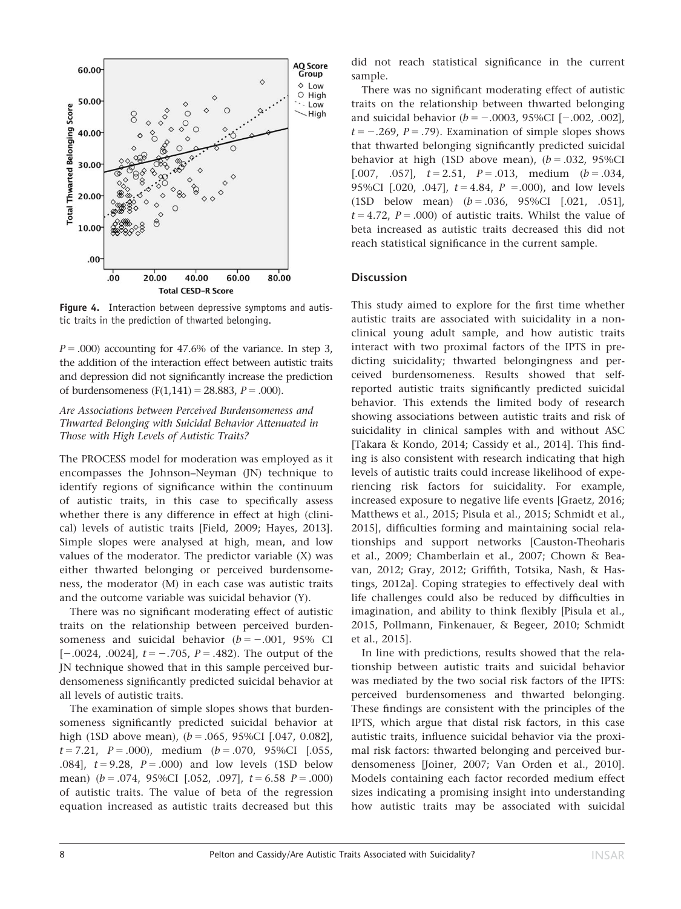

Figure 4. Interaction between depressive symptoms and autistic traits in the prediction of thwarted belonging.

 $P = .000$ ) accounting for 47.6% of the variance. In step 3, the addition of the interaction effect between autistic traits and depression did not significantly increase the prediction of burdensomeness ( $F(1,141) = 28.883$ ,  $P = .000$ ).

#### Are Associations between Perceived Burdensomeness and Thwarted Belonging with Suicidal Behavior Attenuated in Those with High Levels of Autistic Traits?

The PROCESS model for moderation was employed as it encompasses the Johnson–Neyman (JN) technique to identify regions of significance within the continuum of autistic traits, in this case to specifically assess whether there is any difference in effect at high (clinical) levels of autistic traits [Field, 2009; Hayes, 2013]. Simple slopes were analysed at high, mean, and low values of the moderator. The predictor variable (X) was either thwarted belonging or perceived burdensomeness, the moderator (M) in each case was autistic traits and the outcome variable was suicidal behavior (Y).

There was no significant moderating effect of autistic traits on the relationship between perceived burdensomeness and suicidal behavior ( $b = -.001$ , 95% CI  $[-.0024, .0024], t = -.705, P = .482$ . The output of the JN technique showed that in this sample perceived burdensomeness significantly predicted suicidal behavior at all levels of autistic traits.

The examination of simple slopes shows that burdensomeness significantly predicted suicidal behavior at high (1SD above mean),  $(b = .065, 95\%$ CI [.047, 0.082],  $t = 7.21$ ,  $P = .000$ , medium ( $b = .070$ , 95%CI [.055, .084],  $t = 9.28$ ,  $P = .000$  and low levels (1SD below mean) ( $b = .074$ , 95%CI [.052, .097],  $t = 6.58$  P = .000) of autistic traits. The value of beta of the regression equation increased as autistic traits decreased but this did not reach statistical significance in the current sample.

There was no significant moderating effect of autistic traits on the relationship between thwarted belonging and suicidal behavior  $(b = -.0003, 95\%CI [-.002, .002]$ ,  $t = -.269$ ,  $P = .79$ ). Examination of simple slopes shows that thwarted belonging significantly predicted suicidal behavior at high (1SD above mean),  $(b = .032, 95\%$ CI [.007, .057],  $t = 2.51$ ,  $P = .013$ , medium (b = .034, 95%CI [.020, .047],  $t = 4.84$ ,  $P = .000$ ), and low levels (1SD below mean)  $(b = .036, 95\% \text{CI}$  [.021, .051],  $t = 4.72$ ,  $P = .000$ ) of autistic traits. Whilst the value of beta increased as autistic traits decreased this did not reach statistical significance in the current sample.

#### **Discussion**

This study aimed to explore for the first time whether autistic traits are associated with suicidality in a nonclinical young adult sample, and how autistic traits interact with two proximal factors of the IPTS in predicting suicidality; thwarted belongingness and perceived burdensomeness. Results showed that selfreported autistic traits significantly predicted suicidal behavior. This extends the limited body of research showing associations between autistic traits and risk of suicidality in clinical samples with and without ASC [Takara & Kondo, 2014; Cassidy et al., 2014]. This finding is also consistent with research indicating that high levels of autistic traits could increase likelihood of experiencing risk factors for suicidality. For example, increased exposure to negative life events [Graetz, 2016; Matthews et al., 2015; Pisula et al., 2015; Schmidt et al., 2015], difficulties forming and maintaining social relationships and support networks [Causton-Theoharis et al., 2009; Chamberlain et al., 2007; Chown & Beavan, 2012; Gray, 2012; Griffith, Totsika, Nash, & Hastings, 2012a]. Coping strategies to effectively deal with life challenges could also be reduced by difficulties in imagination, and ability to think flexibly [Pisula et al., 2015, Pollmann, Finkenauer, & Begeer, 2010; Schmidt et al., 2015].

In line with predictions, results showed that the relationship between autistic traits and suicidal behavior was mediated by the two social risk factors of the IPTS: perceived burdensomeness and thwarted belonging. These findings are consistent with the principles of the IPTS, which argue that distal risk factors, in this case autistic traits, influence suicidal behavior via the proximal risk factors: thwarted belonging and perceived burdensomeness [Joiner, 2007; Van Orden et al., 2010]. Models containing each factor recorded medium effect sizes indicating a promising insight into understanding how autistic traits may be associated with suicidal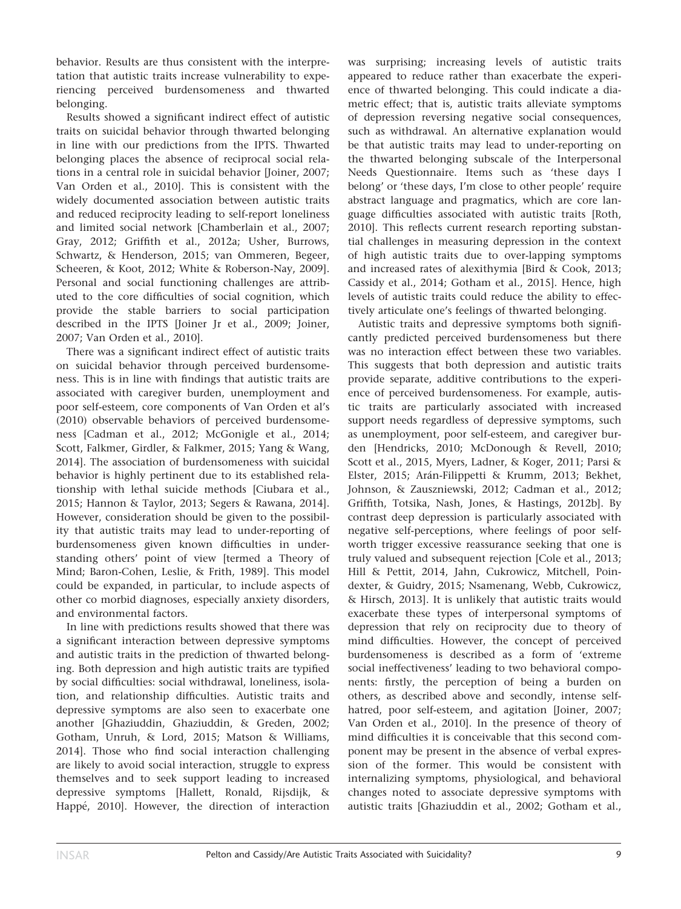behavior. Results are thus consistent with the interpretation that autistic traits increase vulnerability to experiencing perceived burdensomeness and thwarted belonging.

Results showed a significant indirect effect of autistic traits on suicidal behavior through thwarted belonging in line with our predictions from the IPTS. Thwarted belonging places the absence of reciprocal social relations in a central role in suicidal behavior [Joiner, 2007; Van Orden et al., 2010]. This is consistent with the widely documented association between autistic traits and reduced reciprocity leading to self-report loneliness and limited social network [Chamberlain et al., 2007; Gray, 2012; Griffith et al., 2012a; Usher, Burrows, Schwartz, & Henderson, 2015; van Ommeren, Begeer, Scheeren, & Koot, 2012; White & Roberson-Nay, 2009]. Personal and social functioning challenges are attributed to the core difficulties of social cognition, which provide the stable barriers to social participation described in the IPTS [Joiner Jr et al., 2009; Joiner, 2007; Van Orden et al., 2010].

There was a significant indirect effect of autistic traits on suicidal behavior through perceived burdensomeness. This is in line with findings that autistic traits are associated with caregiver burden, unemployment and poor self-esteem, core components of Van Orden et al's (2010) observable behaviors of perceived burdensomeness [Cadman et al., 2012; McGonigle et al., 2014; Scott, Falkmer, Girdler, & Falkmer, 2015; Yang & Wang, 2014]. The association of burdensomeness with suicidal behavior is highly pertinent due to its established relationship with lethal suicide methods [Ciubara et al., 2015; Hannon & Taylor, 2013; Segers & Rawana, 2014]. However, consideration should be given to the possibility that autistic traits may lead to under-reporting of burdensomeness given known difficulties in understanding others' point of view [termed a Theory of Mind; Baron-Cohen, Leslie, & Frith, 1989]. This model could be expanded, in particular, to include aspects of other co morbid diagnoses, especially anxiety disorders, and environmental factors.

In line with predictions results showed that there was a significant interaction between depressive symptoms and autistic traits in the prediction of thwarted belonging. Both depression and high autistic traits are typified by social difficulties: social withdrawal, loneliness, isolation, and relationship difficulties. Autistic traits and depressive symptoms are also seen to exacerbate one another [Ghaziuddin, Ghaziuddin, & Greden, 2002; Gotham, Unruh, & Lord, 2015; Matson & Williams, 2014]. Those who find social interaction challenging are likely to avoid social interaction, struggle to express themselves and to seek support leading to increased depressive symptoms [Hallett, Ronald, Rijsdijk, & Happé, 2010]. However, the direction of interaction

was surprising; increasing levels of autistic traits appeared to reduce rather than exacerbate the experience of thwarted belonging. This could indicate a diametric effect; that is, autistic traits alleviate symptoms of depression reversing negative social consequences, such as withdrawal. An alternative explanation would be that autistic traits may lead to under-reporting on the thwarted belonging subscale of the Interpersonal Needs Questionnaire. Items such as 'these days I belong' or 'these days, I'm close to other people' require abstract language and pragmatics, which are core language difficulties associated with autistic traits [Roth, 2010]. This reflects current research reporting substantial challenges in measuring depression in the context of high autistic traits due to over-lapping symptoms and increased rates of alexithymia [Bird & Cook, 2013; Cassidy et al., 2014; Gotham et al., 2015]. Hence, high levels of autistic traits could reduce the ability to effectively articulate one's feelings of thwarted belonging.

Autistic traits and depressive symptoms both significantly predicted perceived burdensomeness but there was no interaction effect between these two variables. This suggests that both depression and autistic traits provide separate, additive contributions to the experience of perceived burdensomeness. For example, autistic traits are particularly associated with increased support needs regardless of depressive symptoms, such as unemployment, poor self-esteem, and caregiver burden [Hendricks, 2010; McDonough & Revell, 2010; Scott et al., 2015, Myers, Ladner, & Koger, 2011; Parsi & Elster, 2015; Arán-Filippetti & Krumm, 2013; Bekhet, Johnson, & Zauszniewski, 2012; Cadman et al., 2012; Griffith, Totsika, Nash, Jones, & Hastings, 2012b]. By contrast deep depression is particularly associated with negative self-perceptions, where feelings of poor selfworth trigger excessive reassurance seeking that one is truly valued and subsequent rejection [Cole et al., 2013; Hill & Pettit, 2014, Jahn, Cukrowicz, Mitchell, Poindexter, & Guidry, 2015; Nsamenang, Webb, Cukrowicz, & Hirsch, 2013]. It is unlikely that autistic traits would exacerbate these types of interpersonal symptoms of depression that rely on reciprocity due to theory of mind difficulties. However, the concept of perceived burdensomeness is described as a form of 'extreme social ineffectiveness' leading to two behavioral components: firstly, the perception of being a burden on others, as described above and secondly, intense selfhatred, poor self-esteem, and agitation [Joiner, 2007; Van Orden et al., 2010]. In the presence of theory of mind difficulties it is conceivable that this second component may be present in the absence of verbal expression of the former. This would be consistent with internalizing symptoms, physiological, and behavioral changes noted to associate depressive symptoms with autistic traits [Ghaziuddin et al., 2002; Gotham et al.,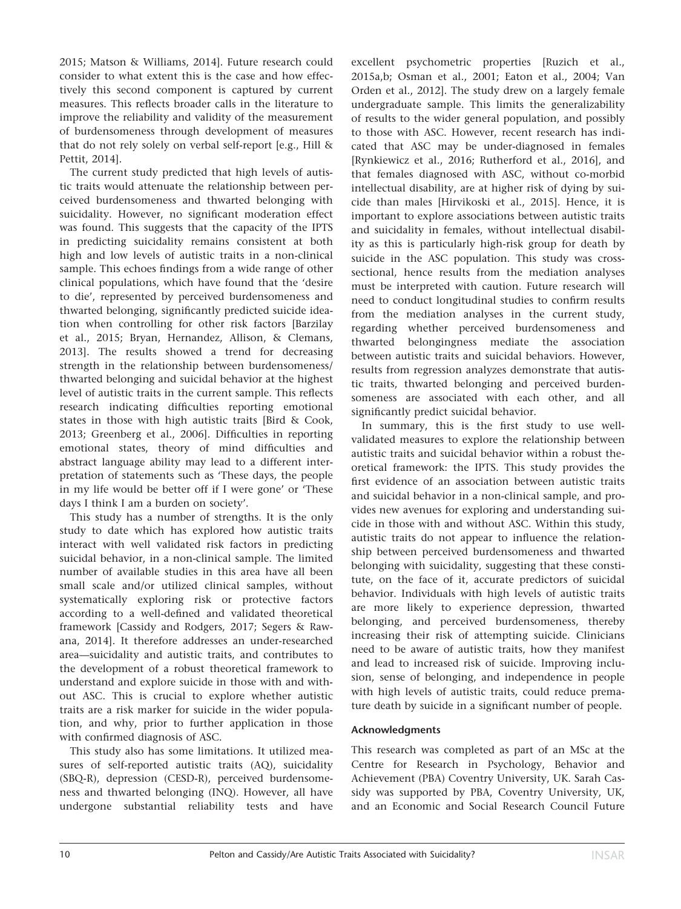2015; Matson & Williams, 2014]. Future research could consider to what extent this is the case and how effectively this second component is captured by current measures. This reflects broader calls in the literature to improve the reliability and validity of the measurement of burdensomeness through development of measures that do not rely solely on verbal self-report [e.g., Hill & Pettit, 2014].

The current study predicted that high levels of autistic traits would attenuate the relationship between perceived burdensomeness and thwarted belonging with suicidality. However, no significant moderation effect was found. This suggests that the capacity of the IPTS in predicting suicidality remains consistent at both high and low levels of autistic traits in a non-clinical sample. This echoes findings from a wide range of other clinical populations, which have found that the 'desire to die', represented by perceived burdensomeness and thwarted belonging, significantly predicted suicide ideation when controlling for other risk factors [Barzilay et al., 2015; Bryan, Hernandez, Allison, & Clemans, 2013]. The results showed a trend for decreasing strength in the relationship between burdensomeness/ thwarted belonging and suicidal behavior at the highest level of autistic traits in the current sample. This reflects research indicating difficulties reporting emotional states in those with high autistic traits [Bird & Cook, 2013; Greenberg et al., 2006]. Difficulties in reporting emotional states, theory of mind difficulties and abstract language ability may lead to a different interpretation of statements such as 'These days, the people in my life would be better off if I were gone' or 'These days I think I am a burden on society'.

This study has a number of strengths. It is the only study to date which has explored how autistic traits interact with well validated risk factors in predicting suicidal behavior, in a non-clinical sample. The limited number of available studies in this area have all been small scale and/or utilized clinical samples, without systematically exploring risk or protective factors according to a well-defined and validated theoretical framework [Cassidy and Rodgers, 2017; Segers & Rawana, 2014]. It therefore addresses an under-researched area—suicidality and autistic traits, and contributes to the development of a robust theoretical framework to understand and explore suicide in those with and without ASC. This is crucial to explore whether autistic traits are a risk marker for suicide in the wider population, and why, prior to further application in those with confirmed diagnosis of ASC.

This study also has some limitations. It utilized measures of self-reported autistic traits (AQ), suicidality (SBQ-R), depression (CESD-R), perceived burdensomeness and thwarted belonging (INQ). However, all have undergone substantial reliability tests and have excellent psychometric properties [Ruzich et al., 2015a,b; Osman et al., 2001; Eaton et al., 2004; Van Orden et al., 2012]. The study drew on a largely female undergraduate sample. This limits the generalizability of results to the wider general population, and possibly to those with ASC. However, recent research has indicated that ASC may be under-diagnosed in females [Rynkiewicz et al., 2016; Rutherford et al., 2016], and that females diagnosed with ASC, without co-morbid intellectual disability, are at higher risk of dying by suicide than males [Hirvikoski et al., 2015]. Hence, it is important to explore associations between autistic traits and suicidality in females, without intellectual disability as this is particularly high-risk group for death by suicide in the ASC population. This study was crosssectional, hence results from the mediation analyses must be interpreted with caution. Future research will need to conduct longitudinal studies to confirm results from the mediation analyses in the current study, regarding whether perceived burdensomeness and thwarted belongingness mediate the association between autistic traits and suicidal behaviors. However, results from regression analyzes demonstrate that autistic traits, thwarted belonging and perceived burdensomeness are associated with each other, and all significantly predict suicidal behavior.

In summary, this is the first study to use wellvalidated measures to explore the relationship between autistic traits and suicidal behavior within a robust theoretical framework: the IPTS. This study provides the first evidence of an association between autistic traits and suicidal behavior in a non-clinical sample, and provides new avenues for exploring and understanding suicide in those with and without ASC. Within this study, autistic traits do not appear to influence the relationship between perceived burdensomeness and thwarted belonging with suicidality, suggesting that these constitute, on the face of it, accurate predictors of suicidal behavior. Individuals with high levels of autistic traits are more likely to experience depression, thwarted belonging, and perceived burdensomeness, thereby increasing their risk of attempting suicide. Clinicians need to be aware of autistic traits, how they manifest and lead to increased risk of suicide. Improving inclusion, sense of belonging, and independence in people with high levels of autistic traits, could reduce premature death by suicide in a significant number of people.

#### Acknowledgments

This research was completed as part of an MSc at the Centre for Research in Psychology, Behavior and Achievement (PBA) Coventry University, UK. Sarah Cassidy was supported by PBA, Coventry University, UK, and an Economic and Social Research Council Future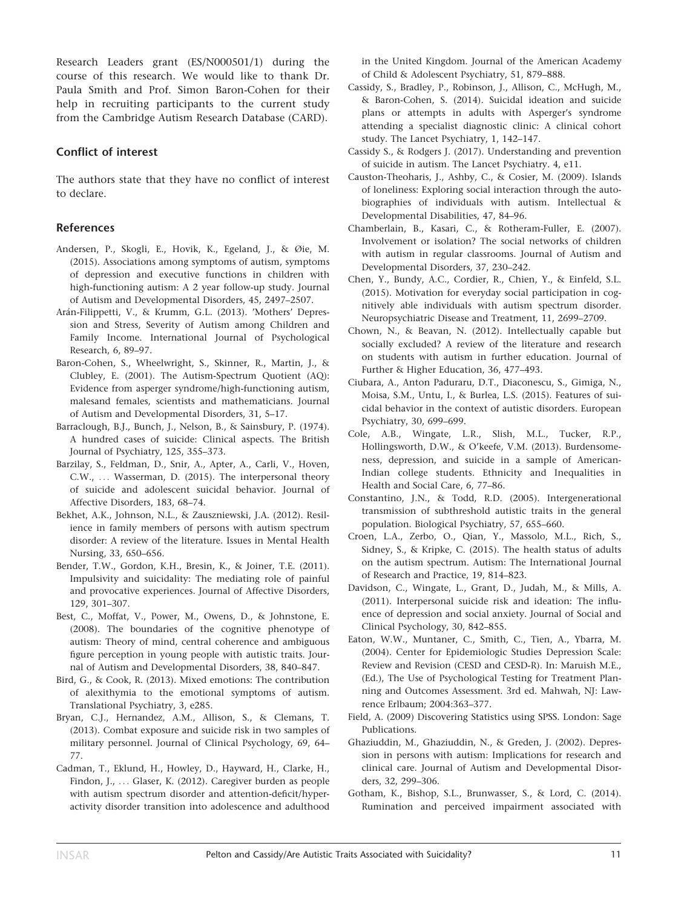Research Leaders grant (ES/N000501/1) during the course of this research. We would like to thank Dr. Paula Smith and Prof. Simon Baron-Cohen for their help in recruiting participants to the current study from the Cambridge Autism Research Database (CARD).

#### Conflict of interest

The authors state that they have no conflict of interest to declare.

#### References

- Andersen, P., Skogli, E., Hovik, K., Egeland, J., & Øie, M. (2015). Associations among symptoms of autism, symptoms of depression and executive functions in children with high-functioning autism: A 2 year follow-up study. Journal of Autism and Developmental Disorders, 45, 2497–2507.
- Arán-Filippetti, V., & Krumm, G.L. (2013). 'Mothers' Depression and Stress, Severity of Autism among Children and Family Income. International Journal of Psychological Research, 6, 89–97.
- Baron-Cohen, S., Wheelwright, S., Skinner, R., Martin, J., & Clubley, E. (2001). The Autism-Spectrum Quotient (AQ): Evidence from asperger syndrome/high-functioning autism, malesand females, scientists and mathematicians. Journal of Autism and Developmental Disorders, 31, 5–17.
- Barraclough, B.J., Bunch, J., Nelson, B., & Sainsbury, P. (1974). A hundred cases of suicide: Clinical aspects. The British Journal of Psychiatry, 125, 355–373.
- Barzilay, S., Feldman, D., Snir, A., Apter, A., Carli, V., Hoven, C.W., ... Wasserman, D. (2015). The interpersonal theory of suicide and adolescent suicidal behavior. Journal of Affective Disorders, 183, 68–74.
- Bekhet, A.K., Johnson, N.L., & Zauszniewski, J.A. (2012). Resilience in family members of persons with autism spectrum disorder: A review of the literature. Issues in Mental Health Nursing, 33, 650–656.
- Bender, T.W., Gordon, K.H., Bresin, K., & Joiner, T.E. (2011). Impulsivity and suicidality: The mediating role of painful and provocative experiences. Journal of Affective Disorders, 129, 301–307.
- Best, C., Moffat, V., Power, M., Owens, D., & Johnstone, E. (2008). The boundaries of the cognitive phenotype of autism: Theory of mind, central coherence and ambiguous figure perception in young people with autistic traits. Journal of Autism and Developmental Disorders, 38, 840–847.
- Bird, G., & Cook, R. (2013). Mixed emotions: The contribution of alexithymia to the emotional symptoms of autism. Translational Psychiatry, 3, e285.
- Bryan, C.J., Hernandez, A.M., Allison, S., & Clemans, T. (2013). Combat exposure and suicide risk in two samples of military personnel. Journal of Clinical Psychology, 69, 64– 77.
- Cadman, T., Eklund, H., Howley, D., Hayward, H., Clarke, H., Findon, J., ... Glaser, K. (2012). Caregiver burden as people with autism spectrum disorder and attention-deficit/hyperactivity disorder transition into adolescence and adulthood

in the United Kingdom. Journal of the American Academy of Child & Adolescent Psychiatry, 51, 879–888.

- Cassidy, S., Bradley, P., Robinson, J., Allison, C., McHugh, M., & Baron-Cohen, S. (2014). Suicidal ideation and suicide plans or attempts in adults with Asperger's syndrome attending a specialist diagnostic clinic: A clinical cohort study. The Lancet Psychiatry, 1, 142–147.
- Cassidy S., & Rodgers J. (2017). Understanding and prevention of suicide in autism. The Lancet Psychiatry. 4, e11.
- Causton-Theoharis, J., Ashby, C., & Cosier, M. (2009). Islands of loneliness: Exploring social interaction through the autobiographies of individuals with autism. Intellectual & Developmental Disabilities, 47, 84–96.
- Chamberlain, B., Kasari, C., & Rotheram-Fuller, E. (2007). Involvement or isolation? The social networks of children with autism in regular classrooms. Journal of Autism and Developmental Disorders, 37, 230–242.
- Chen, Y., Bundy, A.C., Cordier, R., Chien, Y., & Einfeld, S.L. (2015). Motivation for everyday social participation in cognitively able individuals with autism spectrum disorder. Neuropsychiatric Disease and Treatment, 11, 2699–2709.
- Chown, N., & Beavan, N. (2012). Intellectually capable but socially excluded? A review of the literature and research on students with autism in further education. Journal of Further & Higher Education, 36, 477–493.
- Ciubara, A., Anton Paduraru, D.T., Diaconescu, S., Gimiga, N., Moisa, S.M., Untu, I., & Burlea, L.S. (2015). Features of suicidal behavior in the context of autistic disorders. European Psychiatry, 30, 699–699.
- Cole, A.B., Wingate, L.R., Slish, M.L., Tucker, R.P., Hollingsworth, D.W., & O'keefe, V.M. (2013). Burdensomeness, depression, and suicide in a sample of American-Indian college students. Ethnicity and Inequalities in Health and Social Care, 6, 77–86.
- Constantino, J.N., & Todd, R.D. (2005). Intergenerational transmission of subthreshold autistic traits in the general population. Biological Psychiatry, 57, 655–660.
- Croen, L.A., Zerbo, O., Qian, Y., Massolo, M.L., Rich, S., Sidney, S., & Kripke, C. (2015). The health status of adults on the autism spectrum. Autism: The International Journal of Research and Practice, 19, 814–823.
- Davidson, C., Wingate, L., Grant, D., Judah, M., & Mills, A. (2011). Interpersonal suicide risk and ideation: The influence of depression and social anxiety. Journal of Social and Clinical Psychology, 30, 842–855.
- Eaton, W.W., Muntaner, C., Smith, C., Tien, A., Ybarra, M. (2004). Center for Epidemiologic Studies Depression Scale: Review and Revision (CESD and CESD-R). In: Maruish M.E., (Ed.), The Use of Psychological Testing for Treatment Planning and Outcomes Assessment. 3rd ed. Mahwah, NJ: Lawrence Erlbaum; 2004:363–377.
- Field, A. (2009) Discovering Statistics using SPSS. London: Sage Publications.
- Ghaziuddin, M., Ghaziuddin, N., & Greden, J. (2002). Depression in persons with autism: Implications for research and clinical care. Journal of Autism and Developmental Disorders, 32, 299–306.
- Gotham, K., Bishop, S.L., Brunwasser, S., & Lord, C. (2014). Rumination and perceived impairment associated with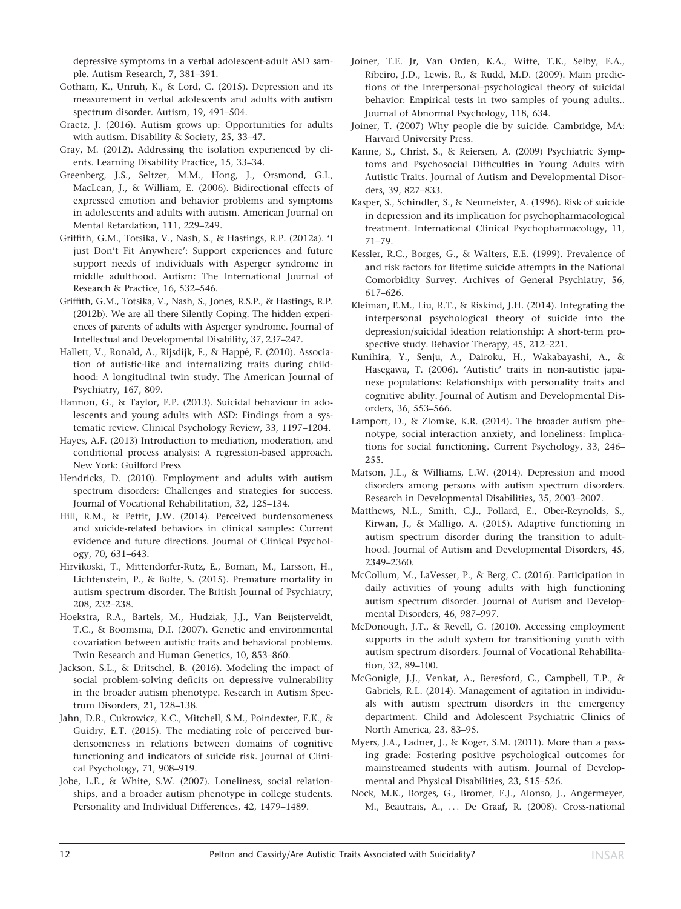depressive symptoms in a verbal adolescent-adult ASD sample. Autism Research, 7, 381–391.

- Gotham, K., Unruh, K., & Lord, C. (2015). Depression and its measurement in verbal adolescents and adults with autism spectrum disorder. Autism, 19, 491–504.
- Graetz, J. (2016). Autism grows up: Opportunities for adults with autism. Disability & Society, 25, 33–47.
- Gray, M. (2012). Addressing the isolation experienced by clients. Learning Disability Practice, 15, 33–34.
- Greenberg, J.S., Seltzer, M.M., Hong, J., Orsmond, G.I., MacLean, J., & William, E. (2006). Bidirectional effects of expressed emotion and behavior problems and symptoms in adolescents and adults with autism. American Journal on Mental Retardation, 111, 229–249.
- Griffith, G.M., Totsika, V., Nash, S., & Hastings, R.P. (2012a). 'I just Don't Fit Anywhere': Support experiences and future support needs of individuals with Asperger syndrome in middle adulthood. Autism: The International Journal of Research & Practice, 16, 532–546.
- Griffith, G.M., Totsika, V., Nash, S., Jones, R.S.P., & Hastings, R.P. (2012b). We are all there Silently Coping. The hidden experiences of parents of adults with Asperger syndrome. Journal of Intellectual and Developmental Disability, 37, 237–247.
- Hallett, V., Ronald, A., Rijsdijk, F., & Happé, F. (2010). Association of autistic-like and internalizing traits during childhood: A longitudinal twin study. The American Journal of Psychiatry, 167, 809.
- Hannon, G., & Taylor, E.P. (2013). Suicidal behaviour in adolescents and young adults with ASD: Findings from a systematic review. Clinical Psychology Review, 33, 1197–1204.
- Hayes, A.F. (2013) Introduction to mediation, moderation, and conditional process analysis: A regression-based approach. New York: Guilford Press
- Hendricks, D. (2010). Employment and adults with autism spectrum disorders: Challenges and strategies for success. Journal of Vocational Rehabilitation, 32, 125–134.
- Hill, R.M., & Pettit, J.W. (2014). Perceived burdensomeness and suicide-related behaviors in clinical samples: Current evidence and future directions. Journal of Clinical Psychology, 70, 631–643.
- Hirvikoski, T., Mittendorfer-Rutz, E., Boman, M., Larsson, H., Lichtenstein, P., & Bölte, S. (2015). Premature mortality in autism spectrum disorder. The British Journal of Psychiatry, 208, 232–238.
- Hoekstra, R.A., Bartels, M., Hudziak, J.J., Van Beijsterveldt, T.C., & Boomsma, D.I. (2007). Genetic and environmental covariation between autistic traits and behavioral problems. Twin Research and Human Genetics, 10, 853–860.
- Jackson, S.L., & Dritschel, B. (2016). Modeling the impact of social problem-solving deficits on depressive vulnerability in the broader autism phenotype. Research in Autism Spectrum Disorders, 21, 128–138.
- Jahn, D.R., Cukrowicz, K.C., Mitchell, S.M., Poindexter, E.K., & Guidry, E.T. (2015). The mediating role of perceived burdensomeness in relations between domains of cognitive functioning and indicators of suicide risk. Journal of Clinical Psychology, 71, 908–919.
- Jobe, L.E., & White, S.W. (2007). Loneliness, social relationships, and a broader autism phenotype in college students. Personality and Individual Differences, 42, 1479–1489.
- Joiner, T.E. Jr, Van Orden, K.A., Witte, T.K., Selby, E.A., Ribeiro, J.D., Lewis, R., & Rudd, M.D. (2009). Main predictions of the Interpersonal–psychological theory of suicidal behavior: Empirical tests in two samples of young adults.. Journal of Abnormal Psychology, 118, 634.
- Joiner, T. (2007) Why people die by suicide. Cambridge, MA: Harvard University Press.
- Kanne, S., Christ, S., & Reiersen, A. (2009) Psychiatric Symptoms and Psychosocial Difficulties in Young Adults with Autistic Traits. Journal of Autism and Developmental Disorders, 39, 827–833.
- Kasper, S., Schindler, S., & Neumeister, A. (1996). Risk of suicide in depression and its implication for psychopharmacological treatment. International Clinical Psychopharmacology, 11, 71–79.
- Kessler, R.C., Borges, G., & Walters, E.E. (1999). Prevalence of and risk factors for lifetime suicide attempts in the National Comorbidity Survey. Archives of General Psychiatry, 56, 617–626.
- Kleiman, E.M., Liu, R.T., & Riskind, J.H. (2014). Integrating the interpersonal psychological theory of suicide into the depression/suicidal ideation relationship: A short-term prospective study. Behavior Therapy, 45, 212–221.
- Kunihira, Y., Senju, A., Dairoku, H., Wakabayashi, A., & Hasegawa, T. (2006). 'Autistic' traits in non-autistic japanese populations: Relationships with personality traits and cognitive ability. Journal of Autism and Developmental Disorders, 36, 553–566.
- Lamport, D., & Zlomke, K.R. (2014). The broader autism phenotype, social interaction anxiety, and loneliness: Implications for social functioning. Current Psychology, 33, 246– 255.
- Matson, J.L., & Williams, L.W. (2014). Depression and mood disorders among persons with autism spectrum disorders. Research in Developmental Disabilities, 35, 2003–2007.
- Matthews, N.L., Smith, C.J., Pollard, E., Ober-Reynolds, S., Kirwan, J., & Malligo, A. (2015). Adaptive functioning in autism spectrum disorder during the transition to adulthood. Journal of Autism and Developmental Disorders, 45, 2349–2360.
- McCollum, M., LaVesser, P., & Berg, C. (2016). Participation in daily activities of young adults with high functioning autism spectrum disorder. Journal of Autism and Developmental Disorders, 46, 987–997.
- McDonough, J.T., & Revell, G. (2010). Accessing employment supports in the adult system for transitioning youth with autism spectrum disorders. Journal of Vocational Rehabilitation, 32, 89–100.
- McGonigle, J.J., Venkat, A., Beresford, C., Campbell, T.P., & Gabriels, R.L. (2014). Management of agitation in individuals with autism spectrum disorders in the emergency department. Child and Adolescent Psychiatric Clinics of North America, 23, 83–95.
- Myers, J.A., Ladner, J., & Koger, S.M. (2011). More than a passing grade: Fostering positive psychological outcomes for mainstreamed students with autism. Journal of Developmental and Physical Disabilities, 23, 515–526.
- Nock, M.K., Borges, G., Bromet, E.J., Alonso, J., Angermeyer, M., Beautrais, A., ... De Graaf, R. (2008). Cross-national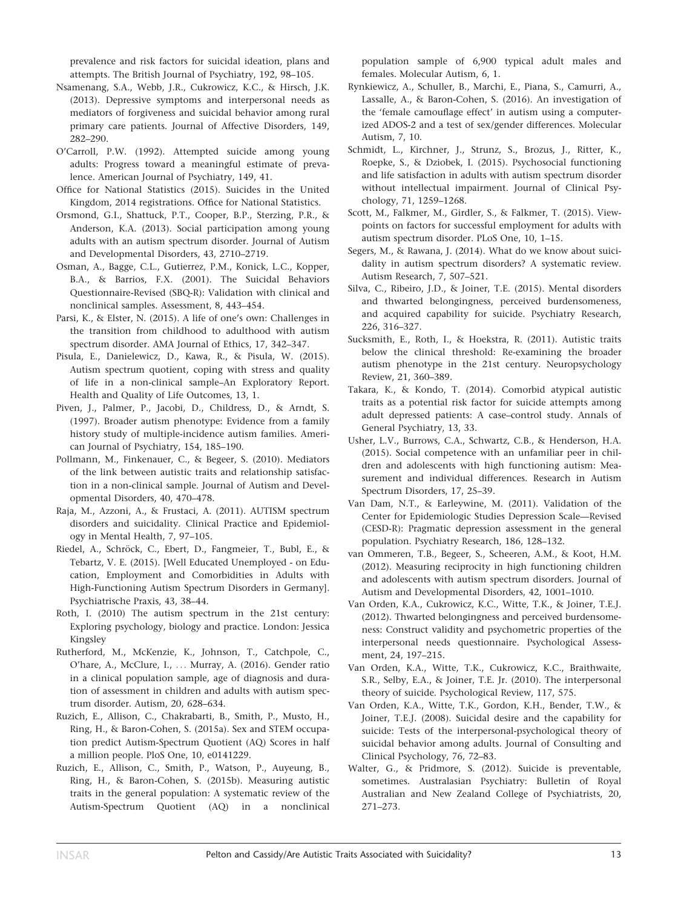prevalence and risk factors for suicidal ideation, plans and attempts. The British Journal of Psychiatry, 192, 98–105.

- Nsamenang, S.A., Webb, J.R., Cukrowicz, K.C., & Hirsch, J.K. (2013). Depressive symptoms and interpersonal needs as mediators of forgiveness and suicidal behavior among rural primary care patients. Journal of Affective Disorders, 149, 282–290.
- O'Carroll, P.W. (1992). Attempted suicide among young adults: Progress toward a meaningful estimate of prevalence. American Journal of Psychiatry, 149, 41.
- Office for National Statistics (2015). Suicides in the United Kingdom, 2014 registrations. Office for National Statistics.
- Orsmond, G.I., Shattuck, P.T., Cooper, B.P., Sterzing, P.R., & Anderson, K.A. (2013). Social participation among young adults with an autism spectrum disorder. Journal of Autism and Developmental Disorders, 43, 2710–2719.
- Osman, A., Bagge, C.L., Gutierrez, P.M., Konick, L.C., Kopper, B.A., & Barrios, F.X. (2001). The Suicidal Behaviors Questionnaire-Revised (SBQ-R): Validation with clinical and nonclinical samples. Assessment, 8, 443–454.
- Parsi, K., & Elster, N. (2015). A life of one's own: Challenges in the transition from childhood to adulthood with autism spectrum disorder. AMA Journal of Ethics, 17, 342–347.
- Pisula, E., Danielewicz, D., Kawa, R., & Pisula, W. (2015). Autism spectrum quotient, coping with stress and quality of life in a non-clinical sample–An Exploratory Report. Health and Quality of Life Outcomes, 13, 1.
- Piven, J., Palmer, P., Jacobi, D., Childress, D., & Arndt, S. (1997). Broader autism phenotype: Evidence from a family history study of multiple-incidence autism families. American Journal of Psychiatry, 154, 185–190.
- Pollmann, M., Finkenauer, C., & Begeer, S. (2010). Mediators of the link between autistic traits and relationship satisfaction in a non-clinical sample. Journal of Autism and Developmental Disorders, 40, 470–478.
- Raja, M., Azzoni, A., & Frustaci, A. (2011). AUTISM spectrum disorders and suicidality. Clinical Practice and Epidemiology in Mental Health, 7, 97–105.
- Riedel, A., Schröck, C., Ebert, D., Fangmeier, T., Bubl, E., & Tebartz, V. E. (2015). [Well Educated Unemployed - on Education, Employment and Comorbidities in Adults with High-Functioning Autism Spectrum Disorders in Germany]. Psychiatrische Praxis, 43, 38–44.
- Roth, I. (2010) The autism spectrum in the 21st century: Exploring psychology, biology and practice. London: Jessica Kingsley
- Rutherford, M., McKenzie, K., Johnson, T., Catchpole, C., O'hare, A., McClure, I., ... Murray, A. (2016). Gender ratio in a clinical population sample, age of diagnosis and duration of assessment in children and adults with autism spectrum disorder. Autism, 20, 628–634.
- Ruzich, E., Allison, C., Chakrabarti, B., Smith, P., Musto, H., Ring, H., & Baron-Cohen, S. (2015a). Sex and STEM occupation predict Autism-Spectrum Quotient (AQ) Scores in half a million people. PloS One, 10, e0141229.
- Ruzich, E., Allison, C., Smith, P., Watson, P., Auyeung, B., Ring, H., & Baron-Cohen, S. (2015b). Measuring autistic traits in the general population: A systematic review of the Autism-Spectrum Quotient (AQ) in a nonclinical

population sample of 6,900 typical adult males and females. Molecular Autism, 6, 1.

- Rynkiewicz, A., Schuller, B., Marchi, E., Piana, S., Camurri, A., Lassalle, A., & Baron-Cohen, S. (2016). An investigation of the 'female camouflage effect' in autism using a computerized ADOS-2 and a test of sex/gender differences. Molecular Autism, 7, 10.
- Schmidt, L., Kirchner, J., Strunz, S., Brozus, J., Ritter, K., Roepke, S., & Dziobek, I. (2015). Psychosocial functioning and life satisfaction in adults with autism spectrum disorder without intellectual impairment. Journal of Clinical Psychology, 71, 1259–1268.
- Scott, M., Falkmer, M., Girdler, S., & Falkmer, T. (2015). Viewpoints on factors for successful employment for adults with autism spectrum disorder. PLoS One, 10, 1–15.
- Segers, M., & Rawana, J. (2014). What do we know about suicidality in autism spectrum disorders? A systematic review. Autism Research, 7, 507–521.
- Silva, C., Ribeiro, J.D., & Joiner, T.E. (2015). Mental disorders and thwarted belongingness, perceived burdensomeness, and acquired capability for suicide. Psychiatry Research, 226, 316–327.
- Sucksmith, E., Roth, I., & Hoekstra, R. (2011). Autistic traits below the clinical threshold: Re-examining the broader autism phenotype in the 21st century. Neuropsychology Review, 21, 360–389.
- Takara, K., & Kondo, T. (2014). Comorbid atypical autistic traits as a potential risk factor for suicide attempts among adult depressed patients: A case–control study. Annals of General Psychiatry, 13, 33.
- Usher, L.V., Burrows, C.A., Schwartz, C.B., & Henderson, H.A. (2015). Social competence with an unfamiliar peer in children and adolescents with high functioning autism: Measurement and individual differences. Research in Autism Spectrum Disorders, 17, 25–39.
- Van Dam, N.T., & Earleywine, M. (2011). Validation of the Center for Epidemiologic Studies Depression Scale—Revised (CESD-R): Pragmatic depression assessment in the general population. Psychiatry Research, 186, 128–132.
- van Ommeren, T.B., Begeer, S., Scheeren, A.M., & Koot, H.M. (2012). Measuring reciprocity in high functioning children and adolescents with autism spectrum disorders. Journal of Autism and Developmental Disorders, 42, 1001–1010.
- Van Orden, K.A., Cukrowicz, K.C., Witte, T.K., & Joiner, T.E.J. (2012). Thwarted belongingness and perceived burdensomeness: Construct validity and psychometric properties of the interpersonal needs questionnaire. Psychological Assessment, 24, 197–215.
- Van Orden, K.A., Witte, T.K., Cukrowicz, K.C., Braithwaite, S.R., Selby, E.A., & Joiner, T.E. Jr. (2010). The interpersonal theory of suicide. Psychological Review, 117, 575.
- Van Orden, K.A., Witte, T.K., Gordon, K.H., Bender, T.W., & Joiner, T.E.J. (2008). Suicidal desire and the capability for suicide: Tests of the interpersonal-psychological theory of suicidal behavior among adults. Journal of Consulting and Clinical Psychology, 76, 72–83.
- Walter, G., & Pridmore, S. (2012). Suicide is preventable, sometimes. Australasian Psychiatry: Bulletin of Royal Australian and New Zealand College of Psychiatrists, 20, 271–273.